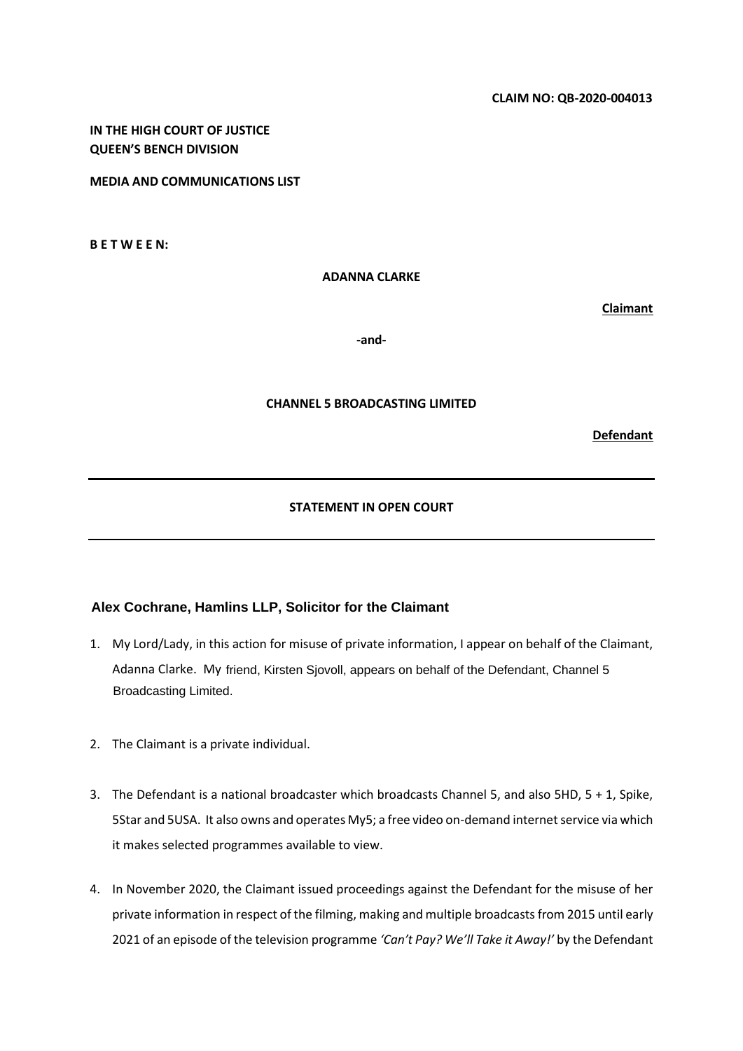# **IN THE HIGH COURT OF JUSTICE QUEEN'S BENCH DIVISION**

**MEDIA AND COMMUNICATIONS LIST**

**B E T W E E N:** 

**ADANNA CLARKE**

**Claimant**

**-and-**

#### **CHANNEL 5 BROADCASTING LIMITED**

**Defendant** 

### **STATEMENT IN OPEN COURT**

## **Alex Cochrane, Hamlins LLP, Solicitor for the Claimant**

- 1. My Lord/Lady, in this action for misuse of private information, I appear on behalf of the Claimant, Adanna Clarke. My friend, Kirsten Sjovoll, appears on behalf of the Defendant, Channel 5 Broadcasting Limited.
- 2. The Claimant is a private individual.
- 3. The Defendant is a national broadcaster which broadcasts Channel 5, and also 5HD, 5 + 1, Spike, 5Star and 5USA. It also owns and operates My5; a free video on-demand internet service via which it makes selected programmes available to view.
- 4. In November 2020, the Claimant issued proceedings against the Defendant for the misuse of her private information in respect of the filming, making and multiple broadcasts from 2015 until early 2021 of an episode of the television programme *'Can't Pay? We'll Take it Away!'* by the Defendant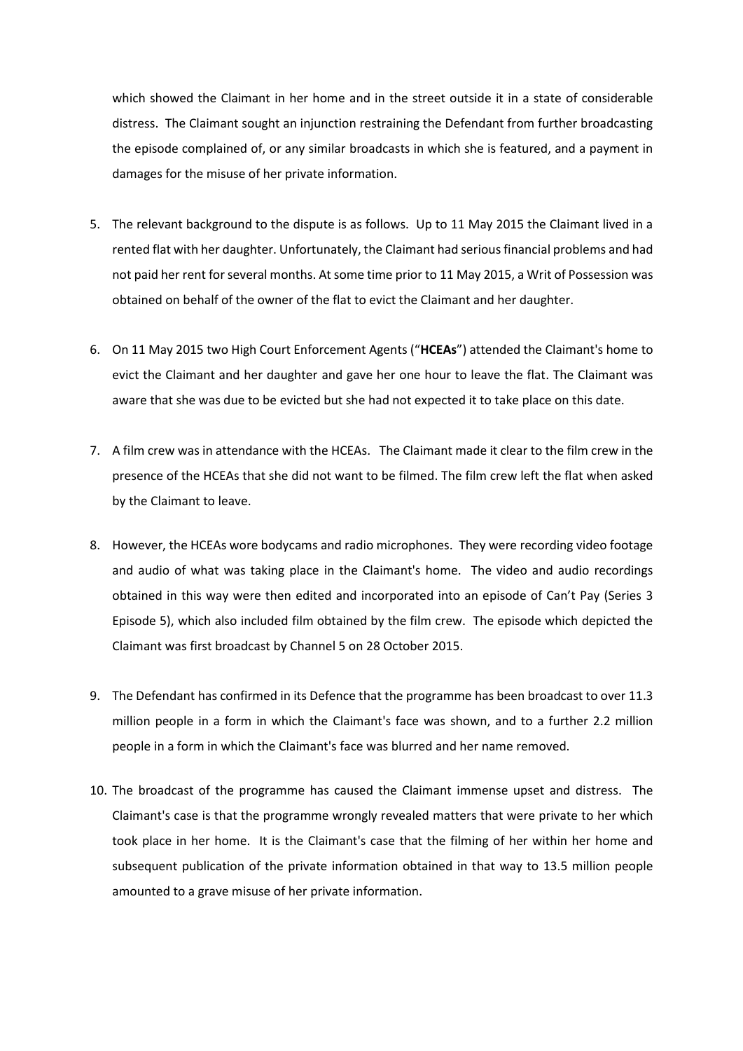which showed the Claimant in her home and in the street outside it in a state of considerable distress. The Claimant sought an injunction restraining the Defendant from further broadcasting the episode complained of, or any similar broadcasts in which she is featured, and a payment in damages for the misuse of her private information.

- 5. The relevant background to the dispute is as follows. Up to 11 May 2015 the Claimant lived in a rented flat with her daughter. Unfortunately, the Claimant had serious financial problems and had not paid her rent for several months. At some time prior to 11 May 2015, a Writ of Possession was obtained on behalf of the owner of the flat to evict the Claimant and her daughter.
- 6. On 11 May 2015 two High Court Enforcement Agents ("**HCEAs**") attended the Claimant's home to evict the Claimant and her daughter and gave her one hour to leave the flat. The Claimant was aware that she was due to be evicted but she had not expected it to take place on this date.
- 7. A film crew was in attendance with the HCEAs. The Claimant made it clear to the film crew in the presence of the HCEAs that she did not want to be filmed. The film crew left the flat when asked by the Claimant to leave.
- 8. However, the HCEAs wore bodycams and radio microphones. They were recording video footage and audio of what was taking place in the Claimant's home. The video and audio recordings obtained in this way were then edited and incorporated into an episode of Can't Pay (Series 3 Episode 5), which also included film obtained by the film crew. The episode which depicted the Claimant was first broadcast by Channel 5 on 28 October 2015.
- 9. The Defendant has confirmed in its Defence that the programme has been broadcast to over 11.3 million people in a form in which the Claimant's face was shown, and to a further 2.2 million people in a form in which the Claimant's face was blurred and her name removed.
- 10. The broadcast of the programme has caused the Claimant immense upset and distress. The Claimant's case is that the programme wrongly revealed matters that were private to her which took place in her home. It is the Claimant's case that the filming of her within her home and subsequent publication of the private information obtained in that way to 13.5 million people amounted to a grave misuse of her private information.